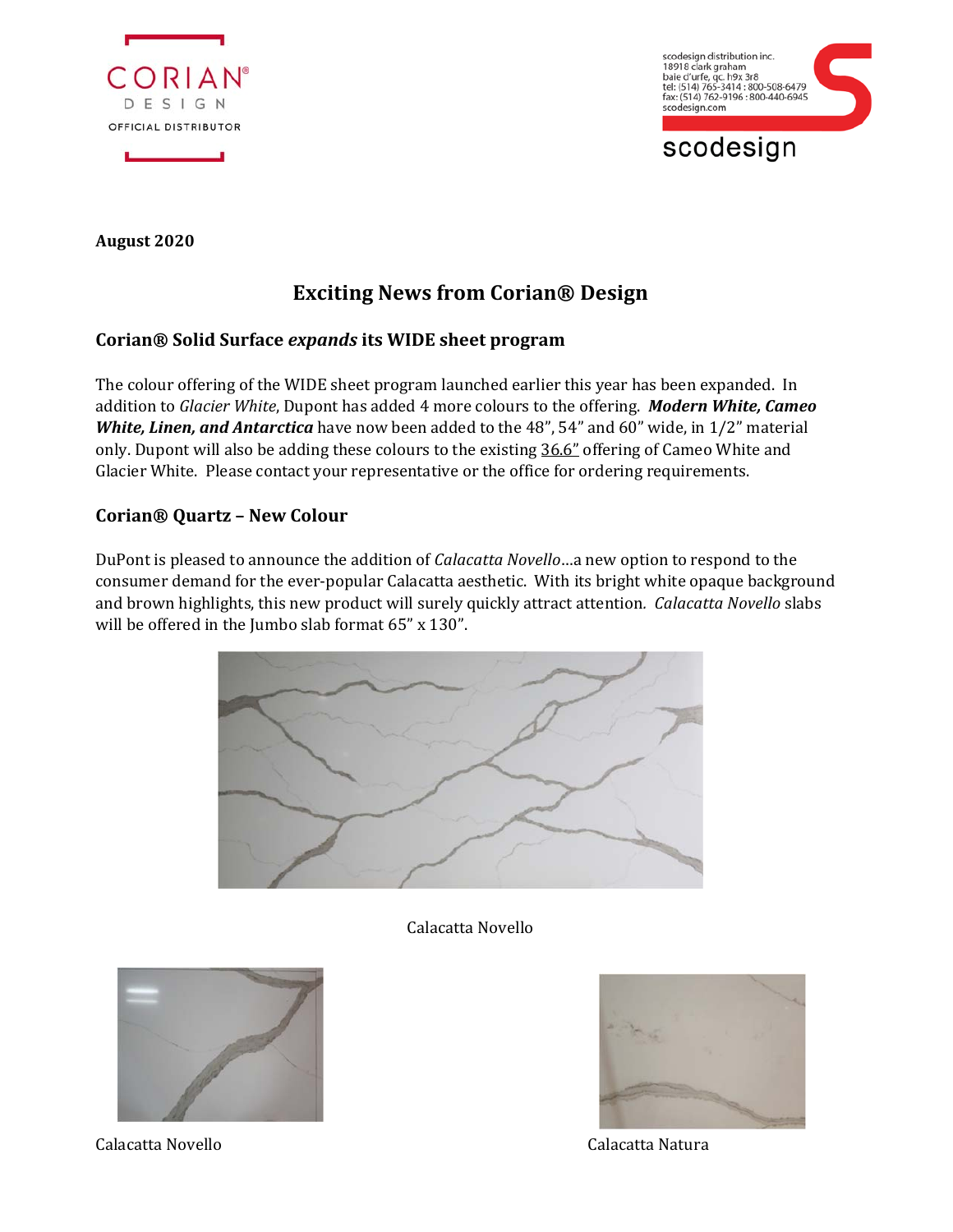

scodesign distribution inc.<br>18918 clark graham baie d'urfe, qc. h9x 3r8<br>tel: (514) 765-3414 : 800-508-6479 fax: (514) 762-9196 : 800-440-6945 scodesign.com

# scodesign

**August 2020** 

## **Exciting News from Corian® Design**

#### **Corian® Solid Surface** *expands* **its WIDE sheet program**

The colour offering of the WIDE sheet program launched earlier this year has been expanded. In addition to *Glacier White*, Dupont has added 4 more colours to the offering. *Modern White, Cameo White, Linen, and Antarctica* have now been added to the 48", 54" and 60" wide, in 1/2" material only. Dupont will also be adding these colours to the existing 36.6" offering of Cameo White and Glacier White. Please contact your representative or the office for ordering requirements.

#### **Corian® Quartz – New Colour**

DuPont is pleased to announce the addition of *Calacatta Novello*…a new option to respond to the consumer demand for the ever-popular Calacatta aesthetic. With its bright white opaque background and brown highlights, this new product will surely quickly attract attention*. Calacatta Novello* slabs will be offered in the Jumbo slab format 65" x 130".



#### Calacatta Novello





Calacatta Novello Calacatta Natura